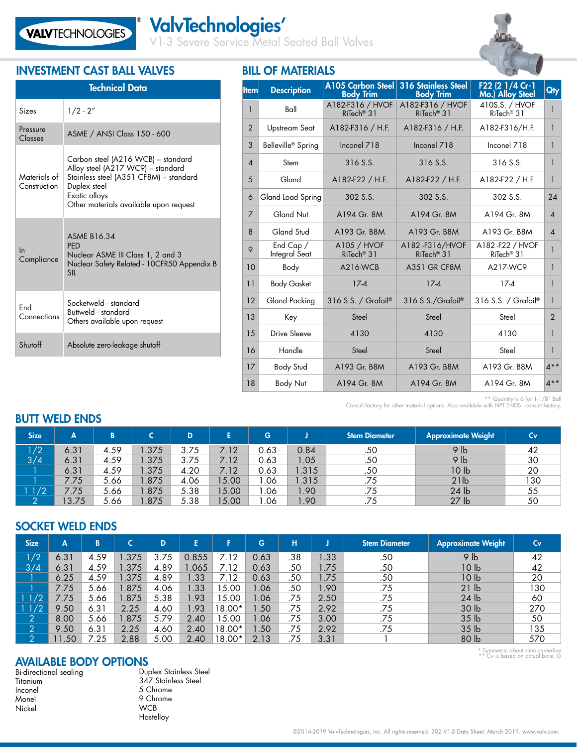V1-3 Severe Service Metal Seated Ball Valves



# INVESTMENT CAST BALL VALVES BILL OF MATERIALS

®

| <b>Technical Data</b>        |                                                                                                                                                                                              |  |  |  |  |  |  |
|------------------------------|----------------------------------------------------------------------------------------------------------------------------------------------------------------------------------------------|--|--|--|--|--|--|
| Sizes                        | $1/2 - 2''$                                                                                                                                                                                  |  |  |  |  |  |  |
| Pressure<br>Classes          | ASME / ANSI Class 150 - 600                                                                                                                                                                  |  |  |  |  |  |  |
| Materials of<br>Construction | Carbon steel (A216 WCB) - standard<br>Alloy steel (A217 WC9) - standard<br>Stainless steel (A351 CF8M) - standard<br>Duplex steel<br>Exotic alloys<br>Other materials available upon request |  |  |  |  |  |  |
| In<br>Compliance             | <b>ASME B16.34</b><br><b>PFD</b><br>Nuclear ASME III Class 1, 2 and 3<br>Nuclear Safety Related - 10CFR50 Appendix B<br><b>SII</b>                                                           |  |  |  |  |  |  |
| Fnd<br>Connections           | Socketweld - standard<br>Buttweld - standard<br>Others available upon request                                                                                                                |  |  |  |  |  |  |
| Shutoff                      | Absolute zero-leakage shutoff                                                                                                                                                                |  |  |  |  |  |  |

| <b>Item</b>              | <b>Description</b>                     | <b>A105 Carbon Steel</b><br><b>Body Trim</b> | 316 Stainless Steel<br><b>Body Trim</b>    | F22 (2 1/4 Cr-1<br>Mo.) Alloy Steel       | Qty                        |
|--------------------------|----------------------------------------|----------------------------------------------|--------------------------------------------|-------------------------------------------|----------------------------|
| 1                        | Ball                                   | A182-F316 / HVOF<br>RiTech <sup>®</sup> 31   | A182-F316 / HVOF<br>RiTech <sup>®</sup> 31 | 410S.S. / HVOF<br>RiTech <sup>®</sup> 31  | 1                          |
| $\overline{2}$           | <b>Upstream Seat</b>                   | A182-F316 / H.F.                             | $A182-F316 / H.F.$                         | A182-F316/H.F.                            | 1                          |
| 3                        | Belleville <sup>®</sup> Spring         | Inconel 718                                  | Inconel 718                                | Inconel 718                               | 1                          |
| $\overline{\mathcal{A}}$ | Stem                                   | 316 S.S.                                     | 316 S.S.                                   | 316 S.S.                                  | 1                          |
| 5                        | Gland                                  | A182-F22 / H.F.                              | A182-F22 / H.F.                            | A182-F22 / H.F.                           | $\mathbf{1}$               |
| 6                        | Gland Load Spring                      | 302 S.S.                                     | 302 S.S.                                   | 302 S.S.                                  | 24                         |
| $\overline{7}$           | Gland Nut                              | A194 Gr. 8M                                  | A194 Gr. 8M                                | A194 Gr. 8M                               | $\boldsymbol{\mathcal{A}}$ |
| 8                        | <b>Gland Stud</b>                      | A193 Gr. B8M                                 | A193 Gr. B8M                               | A193 Gr. B8M                              | $\boldsymbol{\varLambda}$  |
| 9                        | End Cap /<br>Integral Seat             | A105 / HVOF<br>RiTech <sup>®</sup> 31        | A182-F316/HVOF<br>RiTech <sup>®</sup> 31   | A182 F22 / HVOF<br>RiTech <sup>®</sup> 31 | 1                          |
| 10                       | Body                                   | A216-WCB                                     | A351 GR CF8M                               | A217-WC9                                  | 1                          |
| 11                       | <b>Body Gasket</b>                     | $17-4$                                       | $17-4$                                     | $17-4$                                    | 1                          |
| 12                       | Gland Packing<br>$316$ S.S. / Grafoil® |                                              | 316 S.S./Grafoil®                          | 316 S.S. / Grafoil®                       | 1                          |
| 13                       | Key                                    | Steel                                        | Steel                                      | Steel                                     | $\mathfrak{D}$             |
| 15                       | <b>Drive Sleeve</b>                    | 4130                                         | 4130                                       | $\mathbf{1}$                              |                            |
| 16                       | Handle                                 | Steel                                        | Steel                                      | Steel                                     | $\mathbf{1}$               |
| 17                       | <b>Body Stud</b>                       | A193 Gr. B8M                                 | A193 Gr. B8M                               | A193 Gr. B8M                              | $4**$                      |
| 18                       | <b>Body Nut</b>                        | A194 Gr. 8M                                  | A194 Gr. 8M                                | A194 Gr. 8M                               | $4**$                      |

# \*\* Quantity is 6 for 1-1/8" Ball Consult factory for other material options. Also available with NPT ENDS - consult factory.

| <b>Size</b>  | Α     |      |       | D    | E     | G    |       | <b>Stem Diameter</b> | <b>Approximate Weight</b> | Cv. |
|--------------|-------|------|-------|------|-------|------|-------|----------------------|---------------------------|-----|
| 1/2          | 6.31  | 4.59 | 1.375 | 3.75 | 7.12  | 0.63 | 0.84  | .50                  | 9 <sub>lb</sub>           | 42  |
| 3/4          | 6.31  | 4.59 | 1.375 | 3.75 | 7.12  | 0.63 | l .05 | .50                  | 9 <sub>lb</sub>           | 30  |
|              | 6.31  | 4.59 | 1.375 | 4.20 | 7.12  | 0.63 | .315  | .50                  | 10 <sub>lb</sub>          | 20  |
|              | 7.75  | 5.66 | l.875 | 4.06 | 15.00 | .06  | .315  | .75                  | 21 <sub>lb</sub>          | 130 |
| $\sqrt{1/2}$ | 7.75  | 5.66 | 1.875 | 5.38 | 15.00 | .06  | I.90  | .75                  | 24 lb                     | 55  |
|              | 13.75 | 5.66 | l.875 | 5.38 | 15.00 | .06  | 1.90  | .75                  | 27 <sub>lb</sub>          | 50  |

### SOCKET WELD ENDS

BUTT WELD ENDS

| <b>Size</b>            | A    | B             |       | D    | E     |          | G                | н   |      | <b>Stem Diameter</b> | <b>Approximate Weight</b> | Cv  |
|------------------------|------|---------------|-------|------|-------|----------|------------------|-----|------|----------------------|---------------------------|-----|
| $\sqrt{2}$             | 6.31 | 4.59          | .375  | 3.75 | 0.855 | .12      | 0.63             | .38 | 1.33 | .50                  | 9 <sub>lb</sub>           | 42  |
| 3/4                    | 6.31 | 4.59          | .375  | 4.89 | 1.065 | 7.12     | 0.63             | .50 | 1.75 | .50                  | 10 <sub>h</sub>           | 42  |
|                        | 6.25 | 4.59          | .375  | 4.89 | 1.33  | .12      | 0.63             | .50 | 1.75 | .50                  | 10 <sub>h</sub>           | 20  |
|                        | 7.75 | 5.66          | .875  | 4.06 | 1.33  | 5.00     | .06              | .50 | .90  | .75                  | 21 <sub>lb</sub>          | 130 |
| 11/2                   | 7.75 | 5.66          | .875  | 5.38 | .93   | 15.00    | .06              | .75 | 2.50 | .75                  | 24 <sub>lb</sub>          | 60  |
| 11/2                   | 9.50 | 6.31          | 2.25  | 4.60 | l.93  | 18.00*   | .50 <sub>1</sub> | .75 | 2.92 | .75                  | 30 lb                     | 270 |
| $\left 2\right\rangle$ | 8.00 | 5.66          | 1.875 | 5.79 | 2.40  | 15.00    | .06              | .75 | 3.00 | .75                  | 35 <sub>lb</sub>          | 50  |
| $\left 2\right\rangle$ | 9.50 | $6.3^{\circ}$ | 2.25  | 4.60 | 2.40  | $18.00*$ | .50              | .75 | 2.92 | .75                  | 35 <sub>1b</sub>          | 135 |
| $\left 2\right $       | 1.50 | 7.25          | 2.88  | 5.00 | 2.40  | 18.00*   | 2.13             | .75 | 3.31 |                      | 80 lb                     | 570 |

## AVAILABLE BODY OPTIONS

Bi-directional sealing Titanium Inconel Monel Nickel

Duplex Stainless Steel 347 Stainless Steel 5 Chrome 9 Chrome **WCB** Hastelloy

\* Symmetric about stem centerline \*\* Cv is based on actual bore, G